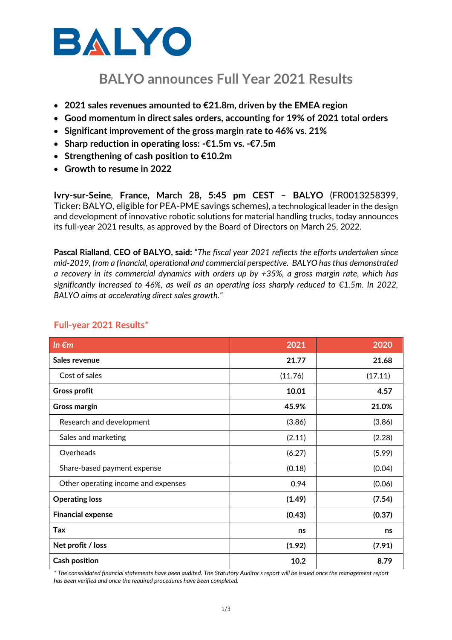

# **BALYO announces Full Year 2021 Results**

- **2021 sales revenues amounted to €21.8m, driven by the EMEA region**
- **Good momentum in direct sales orders, accounting for 19% of 2021 total orders**
- **Significant improvement of the gross margin rate to 46% vs. 21%**
- **Sharp reduction in operating loss: -€1.5m vs. -€7.5m**
- **Strengthening of cash position to €10.2m**
- **Growth to resume in 2022**

**Ivry-sur-Seine**, **France, March 28, 5:45 pm CEST – BALYO** (FR0013258399, Ticker: BALYO, eligible for PEA-PME savings schemes), a technological leader in the design and development of innovative robotic solutions for material handling trucks, today announces its full-year 2021 results, as approved by the Board of Directors on March 25, 2022.

**Pascal Rialland**, **CEO of BALYO, said:** "*The fiscal year 2021 reflects the efforts undertaken since mid-2019, from a financial, operational and commercial perspective. BALYO has thus demonstrated a recovery in its commercial dynamics with orders up by +35%, a gross margin rate, which has significantly increased to 46%, as well as an operating loss sharply reduced to €1.5m. In 2022, BALYO aims at accelerating direct sales growth."*

| In $\epsilon$ m                     | 2021    | 2020    |
|-------------------------------------|---------|---------|
| Sales revenue                       | 21.77   | 21.68   |
| Cost of sales                       | (11.76) | (17.11) |
| <b>Gross profit</b>                 | 10.01   | 4.57    |
| <b>Gross margin</b>                 | 45.9%   | 21.0%   |
| Research and development            | (3.86)  | (3.86)  |
| Sales and marketing                 | (2.11)  | (2.28)  |
| Overheads                           | (6.27)  | (5.99)  |
| Share-based payment expense         | (0.18)  | (0.04)  |
| Other operating income and expenses | 0.94    | (0.06)  |
| <b>Operating loss</b>               | (1.49)  | (7.54)  |
| <b>Financial expense</b>            | (0.43)  | (0.37)  |
| Tax                                 | ns      | ns      |
| Net profit / loss                   | (1.92)  | (7.91)  |
| <b>Cash position</b>                | 10.2    | 8.79    |

## **Full-year 2021 Results\***

*\* The consolidated financial statements have been audited. The Statutory Auditor's report will be issued once the management report has been verified and once the required procedures have been completed.*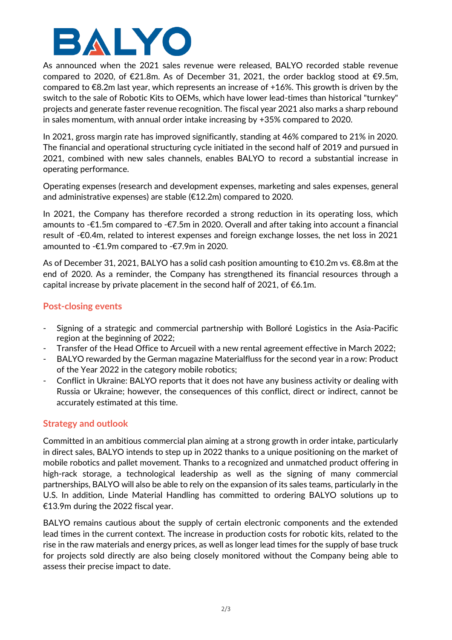

As announced when the 2021 sales revenue were released, BALYO recorded stable revenue compared to 2020, of €21.8m. As of December 31, 2021, the order backlog stood at €9.5m. compared to  $\epsilon$ 8.2m last year, which represents an increase of +16%. This growth is driven by the switch to the sale of Robotic Kits to OEMs, which have lower lead-times than historical "turnkey" projects and generate faster revenue recognition. The fiscal year 2021 also marks a sharp rebound in sales momentum, with annual order intake increasing by +35% compared to 2020.

In 2021, gross margin rate has improved significantly, standing at 46% compared to 21% in 2020. The financial and operational structuring cycle initiated in the second half of 2019 and pursued in 2021, combined with new sales channels, enables BALYO to record a substantial increase in operating performance.

Operating expenses (research and development expenses, marketing and sales expenses, general and administrative expenses) are stable (€12.2m) compared to 2020.

In 2021, the Company has therefore recorded a strong reduction in its operating loss, which amounts to -€1.5m compared to -€7.5m in 2020. Overall and after taking into account a financial result of -€0.4m, related to interest expenses and foreign exchange losses, the net loss in 2021 amounted to -€1.9m compared to -€7.9m in 2020.

As of December 31, 2021, BALYO has a solid cash position amounting to €10.2m vs. €8.8m at the end of 2020. As a reminder, the Company has strengthened its financial resources through a capital increase by private placement in the second half of 2021, of  $\epsilon$ 6.1m.

### **Post-closing events**

- Signing of a strategic and commercial partnership with Bolloré Logistics in the Asia-Pacific region at the beginning of 2022;
- Transfer of the Head Office to Arcueil with a new rental agreement effective in March 2022;
- BALYO rewarded by the German magazine Materialfluss for the second year in a row: Product of the Year 2022 in the category mobile robotics;
- Conflict in Ukraine: BALYO reports that it does not have any business activity or dealing with Russia or Ukraine; however, the consequences of this conflict, direct or indirect, cannot be accurately estimated at this time.

### **Strategy and outlook**

Committed in an ambitious commercial plan aiming at a strong growth in order intake, particularly in direct sales, BALYO intends to step up in 2022 thanks to a unique positioning on the market of mobile robotics and pallet movement. Thanks to a recognized and unmatched product offering in high-rack storage, a technological leadership as well as the signing of many commercial partnerships, BALYO will also be able to rely on the expansion of its sales teams, particularly in the U.S. In addition, Linde Material Handling has committed to ordering BALYO solutions up to €13.9m during the 2022 fiscal year.

BALYO remains cautious about the supply of certain electronic components and the extended lead times in the current context. The increase in production costs for robotic kits, related to the rise in the raw materials and energy prices, as well as longer lead times for the supply of base truck for projects sold directly are also being closely monitored without the Company being able to assess their precise impact to date.